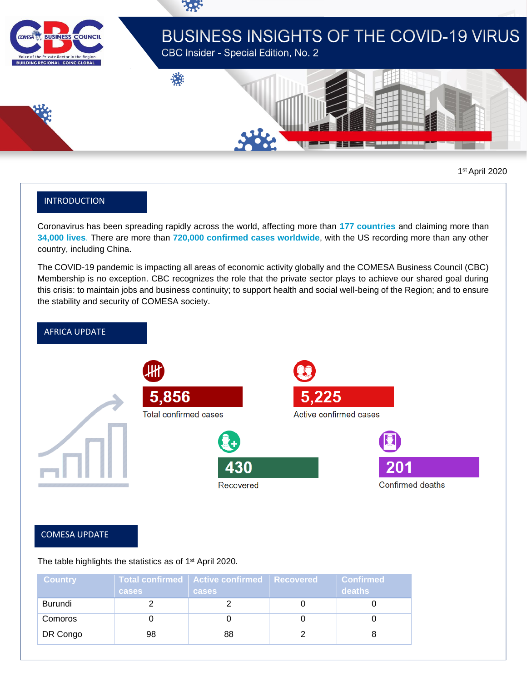

# **BUSINESS INSIGHTS OF THE COVID-19 VIRUS**

CBC Insider - Special Edition, No. 2

谦



1 st April 2020

## INTRODUCTION

Coronavirus has been spreading rapidly across the world, affecting more than **177 countries** and claiming more than **34,000 lives**. There are more than **720,000 confirmed cases worldwide**, with the US recording more than any other country, including China.

The COVID-19 pandemic is impacting all areas of economic activity globally and the COMESA Business Council (CBC) Membership is no exception. CBC recognizes the role that the private sector plays to achieve our shared goal during this crisis: to maintain jobs and business continuity; to support health and social well-being of the Region; and to ensure the stability and security of COMESA society.



## COMESA UPDATE

The table highlights the statistics as of 1<sup>st</sup> April 2020.

| <b>Country</b> | <b>cases</b> | Total confirmed   Active confirmed   Recovered<br><b>cases</b> | <b>Confirmed</b><br>deaths |
|----------------|--------------|----------------------------------------------------------------|----------------------------|
| Burundi        |              |                                                                |                            |
| Comoros        |              |                                                                |                            |
| DR Congo       | 98           | 88                                                             |                            |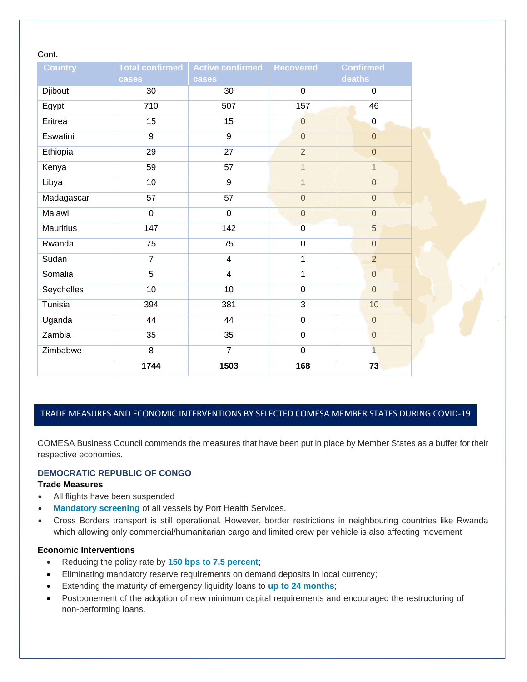## Cont.

| <b>Country</b>   | <b>Total confirmed</b><br>cases | Active confirmed   Recovered<br>cases |                | <b>Confirmed</b><br><b>deaths</b> |
|------------------|---------------------------------|---------------------------------------|----------------|-----------------------------------|
| Djibouti         | 30                              | 30                                    | $\mathbf 0$    | $\mathbf 0$                       |
| Egypt            | 710                             | 507                                   | 157            | 46                                |
| Eritrea          | 15                              | 15                                    | $\overline{0}$ | $\mathbf 0$                       |
| Eswatini         | 9                               | 9                                     | $\overline{0}$ | $\overline{0}$                    |
| Ethiopia         | 29                              | 27                                    | $\overline{2}$ | $\overline{0}$                    |
| Kenya            | 59                              | 57                                    | $\mathbf{1}$   | 1                                 |
| Libya            | 10                              | $\overline{9}$                        | $\mathbf{1}$   | $\overline{0}$                    |
| Madagascar       | 57                              | 57                                    | $\mathbf 0$    | $\overline{0}$                    |
| Malawi           | $\mathbf 0$                     | $\mathbf 0$                           | $\mathbf 0$    | $\overline{0}$                    |
| <b>Mauritius</b> | 147                             | 142                                   | $\overline{0}$ | 5                                 |
| Rwanda           | 75                              | 75                                    | $\mathbf 0$    | $\overline{0}$                    |
| Sudan            | $\overline{7}$                  | $\overline{4}$                        | 1              | $\overline{2}$                    |
| Somalia          | 5                               | $\overline{\mathbf{4}}$               | 1              | $\overline{0}$                    |
| Seychelles       | 10                              | 10                                    | $\mathbf 0$    | $\overline{0}$                    |
| Tunisia          | 394                             | 381                                   | 3              | 10                                |
| Uganda           | 44                              | 44                                    | $\overline{0}$ | $\overline{0}$                    |
| Zambia           | 35                              | 35                                    | $\pmb{0}$      | $\overline{0}$                    |
| Zimbabwe         | 8                               | $\overline{7}$                        | $\pmb{0}$      | $\overline{1}$                    |
|                  | 1744                            | 1503                                  | 168            | 73                                |

## TRADE MEASURES AND ECONOMIC INTERVENTIONS BY SELECTED COMESA MEMBER STATES DURING COVID-19

COMESA Business Council commends the measures that have been put in place by Member States as a buffer for their respective economies.

## **DEMOCRATIC REPUBLIC OF CONGO**

#### **Trade Measures**

PANDEMIC

- All flights have been suspended
- **Mandatory screening** of all vessels by Port Health Services.
- Cross Borders transport is still operational. However, border restrictions in neighbouring countries like Rwanda which allowing only commercial/humanitarian cargo and limited crew per vehicle is also affecting movement

#### **Economic Interventions**

- Reducing the policy rate by **150 bps to 7.5 percent**;
- Eliminating mandatory reserve requirements on demand deposits in local currency;
- Extending the maturity of emergency liquidity loans to **up to 24 months**;
- Postponement of the adoption of new minimum capital requirements and encouraged the restructuring of non-performing loans.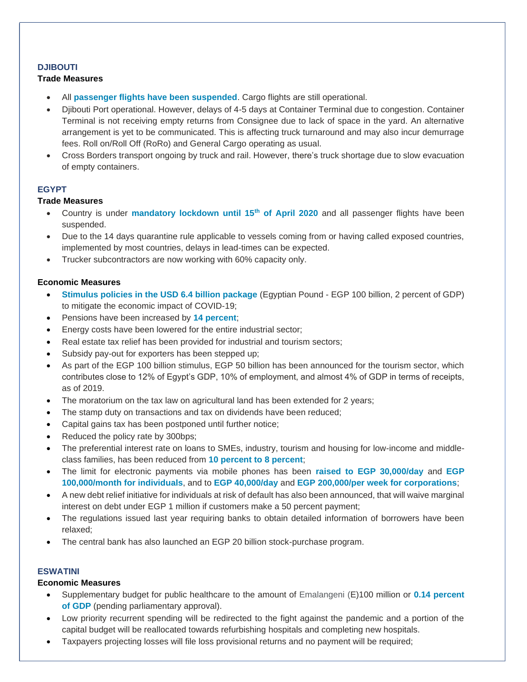## **DJIBOUTI**

## **Trade Measures**

- All **passenger flights have been suspended**. Cargo flights are still operational.
- Djibouti Port operational. However, delays of 4-5 days at Container Terminal due to congestion. Container Terminal is not receiving empty returns from Consignee due to lack of space in the yard. An alternative arrangement is yet to be communicated. This is affecting truck turnaround and may also incur demurrage fees. Roll on/Roll Off (RoRo) and General Cargo operating as usual.
- Cross Borders transport ongoing by truck and rail. However, there's truck shortage due to slow evacuation of empty containers.

## **EGYPT**

## **Trade Measures**

- Country is under **mandatory lockdown until 15th of April 2020** and all passenger flights have been suspended.
- Due to the 14 days quarantine rule applicable to vessels coming from or having called exposed countries, implemented by most countries, delays in lead-times can be expected.
- Trucker subcontractors are now working with 60% capacity only.

## **Economic Measures**

- **Stimulus policies in the USD 6.4 billion package** (Egyptian Pound EGP 100 billion, 2 percent of GDP) to mitigate the economic impact of COVID-19;
- Pensions have been increased by **14 percent**;
- Energy costs have been lowered for the entire industrial sector;
- Real estate tax relief has been provided for industrial and tourism sectors;
- Subsidy pay-out for exporters has been stepped up;
- As part of the EGP 100 billion stimulus, EGP 50 billion has been announced for the tourism sector, which contributes close to 12% of Egypt's GDP, 10% of employment, and almost 4% of GDP in terms of receipts, as of 2019.
- The moratorium on the tax law on agricultural land has been extended for 2 years;
- The stamp duty on transactions and tax on dividends have been reduced;
- Capital gains tax has been postponed until further notice;
- Reduced the policy rate by 300bps;
- The preferential interest rate on loans to SMEs, industry, tourism and housing for low-income and middleclass families, has been reduced from **10 percent to 8 percent**;
- The limit for electronic payments via mobile phones has been **raised to EGP 30,000/day** and **EGP 100,000/month for individuals**, and to **EGP 40,000/day** and **EGP 200,000/per week for corporations**;
- A new debt relief initiative for individuals at risk of default has also been announced, that will waive marginal interest on debt under EGP 1 million if customers make a 50 percent payment;
- The regulations issued last year requiring banks to obtain detailed information of borrowers have been relaxed;
- The central bank has also launched an EGP 20 billion stock-purchase program.

#### **ESWATINI**

- Supplementary budget for public healthcare to the amount of Emalangeni (E)100 million or **0.14 percent of GDP** (pending parliamentary approval).
- Low priority recurrent spending will be redirected to the fight against the pandemic and a portion of the capital budget will be reallocated towards refurbishing hospitals and completing new hospitals.
- Taxpayers projecting losses will file loss provisional returns and no payment will be required;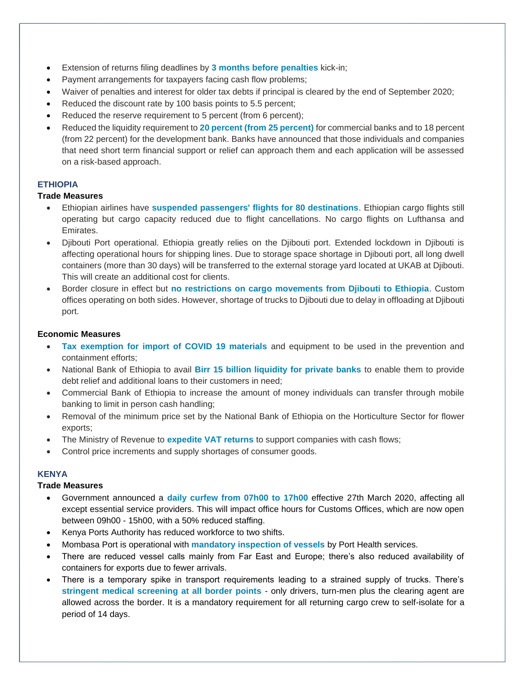- Extension of returns filing deadlines by **3 months before penalties** kick-in;
- Payment arrangements for taxpayers facing cash flow problems;
- Waiver of penalties and interest for older tax debts if principal is cleared by the end of September 2020;
- Reduced the discount rate by 100 basis points to 5.5 percent;
- Reduced the reserve requirement to 5 percent (from 6 percent);
- Reduced the liquidity requirement to **20 percent (from 25 percent)** for commercial banks and to 18 percent (from 22 percent) for the development bank. Banks have announced that those individuals and companies that need short term financial support or relief can approach them and each application will be assessed on a risk-based approach.

## **ETHIOPIA**

## **Trade Measures**

- Ethiopian airlines have **suspended passengers' flights for 80 destinations**. Ethiopian cargo flights still operating but cargo capacity reduced due to flight cancellations. No cargo flights on Lufthansa and Emirates.
- Djibouti Port operational. Ethiopia greatly relies on the Djibouti port. Extended lockdown in Djibouti is affecting operational hours for shipping lines. Due to storage space shortage in Djibouti port, all long dwell containers (more than 30 days) will be transferred to the external storage yard located at UKAB at Djibouti. This will create an additional cost for clients.
- Border closure in effect but **no restrictions on cargo movements from Djibouti to Ethiopia**. Custom offices operating on both sides. However, shortage of trucks to Djibouti due to delay in offloading at Djibouti port.

## **Economic Measures**

- **Tax exemption for import of COVID 19 materials** and equipment to be used in the prevention and containment efforts;
- National Bank of Ethiopia to avail **Birr 15 billion liquidity for private banks** to enable them to provide debt relief and additional loans to their customers in need;
- Commercial Bank of Ethiopia to increase the amount of money individuals can transfer through mobile banking to limit in person cash handling;
- Removal of the minimum price set by the National Bank of Ethiopia on the Horticulture Sector for flower exports;
- The Ministry of Revenue to **expedite VAT returns** to support companies with cash flows;
- Control price increments and supply shortages of consumer goods.

## **KENYA**

#### **Trade Measures**

- Government announced a **daily curfew from 07h00 to 17h00** effective 27th March 2020, affecting all except essential service providers. This will impact office hours for Customs Offices, which are now open between 09h00 - 15h00, with a 50% reduced staffing.
- Kenya Ports Authority has reduced workforce to two shifts.
- Mombasa Port is operational with **mandatory inspection of vessels** by Port Health services.
- There are reduced vessel calls mainly from Far East and Europe; there's also reduced availability of containers for exports due to fewer arrivals.
- There is a temporary spike in transport requirements leading to a strained supply of trucks. There's **stringent medical screening at all border points** - only drivers, turn-men plus the clearing agent are allowed across the border. It is a mandatory requirement for all returning cargo crew to self-isolate for a period of 14 days.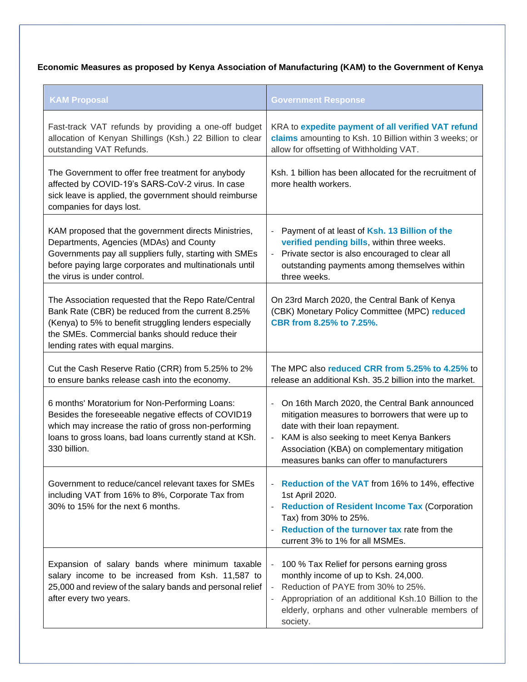# **Economic Measures as proposed by Kenya Association of Manufacturing (KAM) to the Government of Kenya**

| <b>KAM Proposal</b>                                                                                                                                                                                                                                        | <b>Government Response</b>                                                                                                                                                                                                                                                         |  |  |
|------------------------------------------------------------------------------------------------------------------------------------------------------------------------------------------------------------------------------------------------------------|------------------------------------------------------------------------------------------------------------------------------------------------------------------------------------------------------------------------------------------------------------------------------------|--|--|
| Fast-track VAT refunds by providing a one-off budget<br>allocation of Kenyan Shillings (Ksh.) 22 Billion to clear<br>outstanding VAT Refunds.                                                                                                              | KRA to expedite payment of all verified VAT refund<br>claims amounting to Ksh. 10 Billion within 3 weeks; or<br>allow for offsetting of Withholding VAT.                                                                                                                           |  |  |
| The Government to offer free treatment for anybody<br>affected by COVID-19's SARS-CoV-2 virus. In case<br>sick leave is applied, the government should reimburse<br>companies for days lost.                                                               | Ksh. 1 billion has been allocated for the recruitment of<br>more health workers.                                                                                                                                                                                                   |  |  |
| KAM proposed that the government directs Ministries,<br>Departments, Agencies (MDAs) and County<br>Governments pay all suppliers fully, starting with SMEs<br>before paying large corporates and multinationals until<br>the virus is under control.       | Payment of at least of Ksh. 13 Billion of the<br>verified pending bills, within three weeks.<br>Private sector is also encouraged to clear all<br>$\blacksquare$<br>outstanding payments among themselves within<br>three weeks.                                                   |  |  |
| The Association requested that the Repo Rate/Central<br>Bank Rate (CBR) be reduced from the current 8.25%<br>(Kenya) to 5% to benefit struggling lenders especially<br>the SMEs. Commercial banks should reduce their<br>lending rates with equal margins. | On 23rd March 2020, the Central Bank of Kenya<br>(CBK) Monetary Policy Committee (MPC) reduced<br>CBR from 8.25% to 7.25%.                                                                                                                                                         |  |  |
| Cut the Cash Reserve Ratio (CRR) from 5.25% to 2%<br>to ensure banks release cash into the economy.                                                                                                                                                        | The MPC also reduced CRR from 5.25% to 4.25% to<br>release an additional Ksh. 35.2 billion into the market.                                                                                                                                                                        |  |  |
| 6 months' Moratorium for Non-Performing Loans:<br>Besides the foreseeable negative effects of COVID19<br>which may increase the ratio of gross non-performing<br>loans to gross loans, bad loans currently stand at KSh.<br>330 billion.                   | On 16th March 2020, the Central Bank announced<br>mitigation measures to borrowers that were up to<br>date with their loan repayment.<br>- KAM is also seeking to meet Kenya Bankers<br>Association (KBA) on complementary mitigation<br>measures banks can offer to manufacturers |  |  |
| Government to reduce/cancel relevant taxes for SMEs<br>including VAT from 16% to 8%, Corporate Tax from<br>30% to 15% for the next 6 months.                                                                                                               | Reduction of the VAT from 16% to 14%, effective<br>$\blacksquare$<br>1st April 2020.<br><b>Reduction of Resident Income Tax (Corporation</b><br>Tax) from 30% to 25%.<br>Reduction of the turnover tax rate from the<br>current 3% to 1% for all MSMEs.                            |  |  |
| Expansion of salary bands where minimum taxable<br>salary income to be increased from Ksh. 11,587 to<br>25,000 and review of the salary bands and personal relief<br>after every two years.                                                                | 100 % Tax Relief for persons earning gross<br>$\sim$<br>monthly income of up to Ksh. 24,000.<br>Reduction of PAYE from 30% to 25%.<br>Appropriation of an additional Ksh.10 Billion to the<br>elderly, orphans and other vulnerable members of<br>society.                         |  |  |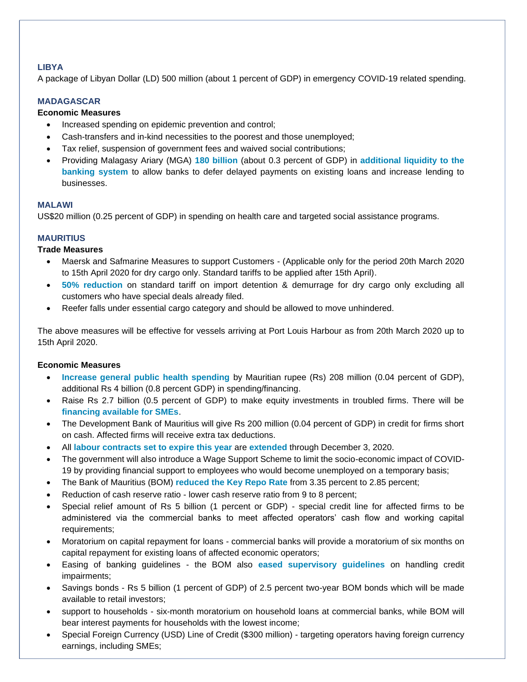## **LIBYA**

A package of Libyan Dollar (LD) 500 million (about 1 percent of GDP) in emergency COVID-19 related spending.

## **MADAGASCAR**

## **Economic Measures**

- Increased spending on epidemic prevention and control;
- Cash-transfers and in-kind necessities to the poorest and those unemployed;
- Tax relief, suspension of government fees and waived social contributions;
- Providing Malagasy Ariary (MGA) **180 billion** (about 0.3 percent of GDP) in **additional liquidity to the banking system** to allow banks to defer delayed payments on existing loans and increase lending to businesses.

#### **MALAWI**

US\$20 million (0.25 percent of GDP) in spending on health care and targeted social assistance programs.

## **MAURITIUS**

## **Trade Measures**

- Maersk and Safmarine Measures to support Customers (Applicable only for the period 20th March 2020 to 15th April 2020 for dry cargo only. Standard tariffs to be applied after 15th April).
- **50% reduction** on standard tariff on import detention & demurrage for dry cargo only excluding all customers who have special deals already filed.
- Reefer falls under essential cargo category and should be allowed to move unhindered.

The above measures will be effective for vessels arriving at Port Louis Harbour as from 20th March 2020 up to 15th April 2020.

- **Increase general public health spending** by Mauritian rupee (Rs) 208 million (0.04 percent of GDP), additional Rs 4 billion (0.8 percent GDP) in spending/financing.
- Raise Rs 2.7 billion (0.5 percent of GDP) to make equity investments in troubled firms. There will be **financing available for SMEs**.
- The Development Bank of Mauritius will give Rs 200 million (0.04 percent of GDP) in credit for firms short on cash. Affected firms will receive extra tax deductions.
- All **labour contracts set to expire this year** are **extended** through December 3, 2020.
- The government will also introduce a Wage Support Scheme to limit the socio-economic impact of COVID-19 by providing financial support to employees who would become unemployed on a temporary basis;
- The Bank of Mauritius (BOM) **reduced the Key Repo Rate** from 3.35 percent to 2.85 percent;
- Reduction of cash reserve ratio lower cash reserve ratio from 9 to 8 percent;
- Special relief amount of Rs 5 billion (1 percent or GDP) special credit line for affected firms to be administered via the commercial banks to meet affected operators' cash flow and working capital requirements;
- Moratorium on capital repayment for loans commercial banks will provide a moratorium of six months on capital repayment for existing loans of affected economic operators;
- Easing of banking guidelines the BOM also **eased supervisory guidelines** on handling credit impairments;
- Savings bonds Rs 5 billion (1 percent of GDP) of 2.5 percent two-year BOM bonds which will be made available to retail investors;
- support to households six-month moratorium on household loans at commercial banks, while BOM will bear interest payments for households with the lowest income;
- Special Foreign Currency (USD) Line of Credit (\$300 million) targeting operators having foreign currency earnings, including SMEs;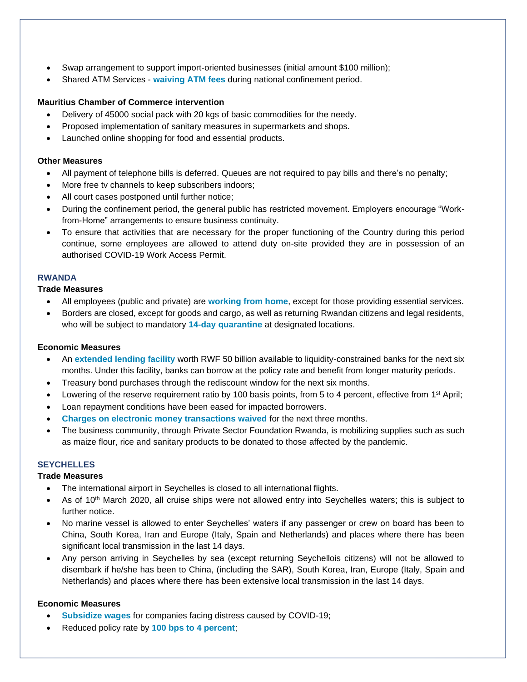- Swap arrangement to support import-oriented businesses (initial amount \$100 million);
- Shared ATM Services **waiving ATM fees** during national confinement period.

## **Mauritius Chamber of Commerce intervention**

- Delivery of 45000 social pack with 20 kgs of basic commodities for the needy.
- Proposed implementation of sanitary measures in supermarkets and shops.
- Launched online shopping for food and essential products.

#### **Other Measures**

- All payment of telephone bills is deferred. Queues are not required to pay bills and there's no penalty;
- More free tv channels to keep subscribers indoors;
- All court cases postponed until further notice;
- During the confinement period, the general public has restricted movement. Employers encourage "Workfrom-Home" arrangements to ensure business continuity.
- To ensure that activities that are necessary for the proper functioning of the Country during this period continue, some employees are allowed to attend duty on-site provided they are in possession of an authorised COVID-19 Work Access Permit.

## **RWANDA**

#### **Trade Measures**

- All employees (public and private) are **working from home**, except for those providing essential services.
- Borders are closed, except for goods and cargo, as well as returning Rwandan citizens and legal residents, who will be subject to mandatory **14-day quarantine** at designated locations.

#### **Economic Measures**

- An **extended lending facility** worth RWF 50 billion available to liquidity-constrained banks for the next six months. Under this facility, banks can borrow at the policy rate and benefit from longer maturity periods.
- Treasury bond purchases through the rediscount window for the next six months.
- Lowering of the reserve requirement ratio by 100 basis points, from 5 to 4 percent, effective from 1<sup>st</sup> April;
- Loan repayment conditions have been eased for impacted borrowers.
- **Charges on electronic money transactions waived** for the next three months.
- The business community, through Private Sector Foundation Rwanda, is mobilizing supplies such as such as maize flour, rice and sanitary products to be donated to those affected by the pandemic.

## **SEYCHELLES**

## **Trade Measures**

- The international airport in Seychelles is closed to all international flights.
- As of 10<sup>th</sup> March 2020, all cruise ships were not allowed entry into Seychelles waters; this is subject to further notice.
- No marine vessel is allowed to enter Seychelles' waters if any passenger or crew on board has been to China, South Korea, Iran and Europe (Italy, Spain and Netherlands) and places where there has been significant local transmission in the last 14 days.
- Any person arriving in Seychelles by sea (except returning Seychellois citizens) will not be allowed to disembark if he/she has been to China, (including the SAR), South Korea, Iran, Europe (Italy, Spain and Netherlands) and places where there has been extensive local transmission in the last 14 days.

- **Subsidize wages** for companies facing distress caused by COVID-19;
- Reduced policy rate by **100 bps to 4 percent**;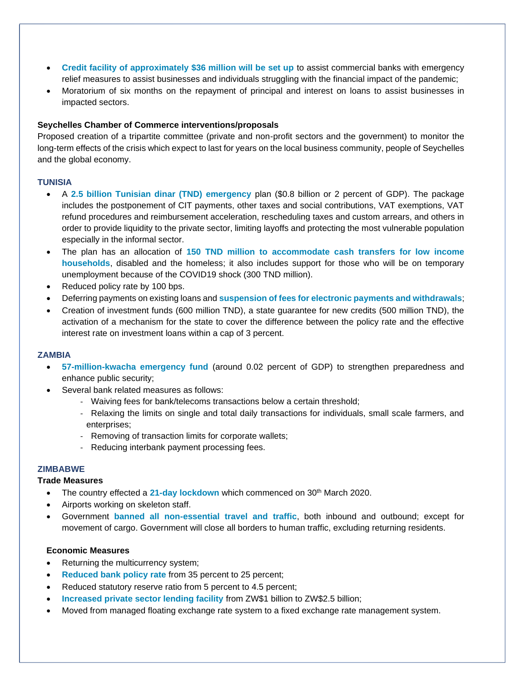- **Credit facility of approximately \$36 million will be set up** to assist commercial banks with emergency relief measures to assist businesses and individuals struggling with the financial impact of the pandemic;
- Moratorium of six months on the repayment of principal and interest on loans to assist businesses in impacted sectors.

## **Seychelles Chamber of Commerce interventions/proposals**

Proposed creation of a tripartite committee (private and non-profit sectors and the government) to monitor the long-term effects of the crisis which expect to last for years on the local business community, people of Seychelles and the global economy.

## **TUNISIA**

- A **2.5 billion Tunisian dinar (TND) emergency** plan (\$0.8 billion or 2 percent of GDP). The package includes the postponement of CIT payments, other taxes and social contributions, VAT exemptions, VAT refund procedures and reimbursement acceleration, rescheduling taxes and custom arrears, and others in order to provide liquidity to the private sector, limiting layoffs and protecting the most vulnerable population especially in the informal sector.
- The plan has an allocation of **150 TND million to accommodate cash transfers for low income households**, disabled and the homeless; it also includes support for those who will be on temporary unemployment because of the COVID19 shock (300 TND million).
- Reduced policy rate by 100 bps.
- Deferring payments on existing loans and **suspension of fees for electronic payments and withdrawals**;
- Creation of investment funds (600 million TND), a state guarantee for new credits (500 million TND), the activation of a mechanism for the state to cover the difference between the policy rate and the effective interest rate on investment loans within a cap of 3 percent.

#### **ZAMBIA**

- **57-million-kwacha emergency fund** (around 0.02 percent of GDP) to strengthen preparedness and enhance public security;
- Several bank related measures as follows:
	- Waiving fees for bank/telecoms transactions below a certain threshold;
	- Relaxing the limits on single and total daily transactions for individuals, small scale farmers, and enterprises;
	- Removing of transaction limits for corporate wallets;
	- Reducing interbank payment processing fees.

#### **ZIMBABWE**

#### **Trade Measures**

- The country effected a 21-day lockdown which commenced on 30<sup>th</sup> March 2020.
- Airports working on skeleton staff.
- Government **banned all non-essential travel and traffic**, both inbound and outbound; except for movement of cargo. Government will close all borders to human traffic, excluding returning residents.

- Returning the multicurrency system;
- **Reduced bank policy rate from 35 percent to 25 percent;**
- Reduced statutory reserve ratio from 5 percent to 4.5 percent;
- **Increased private sector lending facility** from ZW\$1 billion to ZW\$2.5 billion;
- Moved from managed floating exchange rate system to a fixed exchange rate management system.